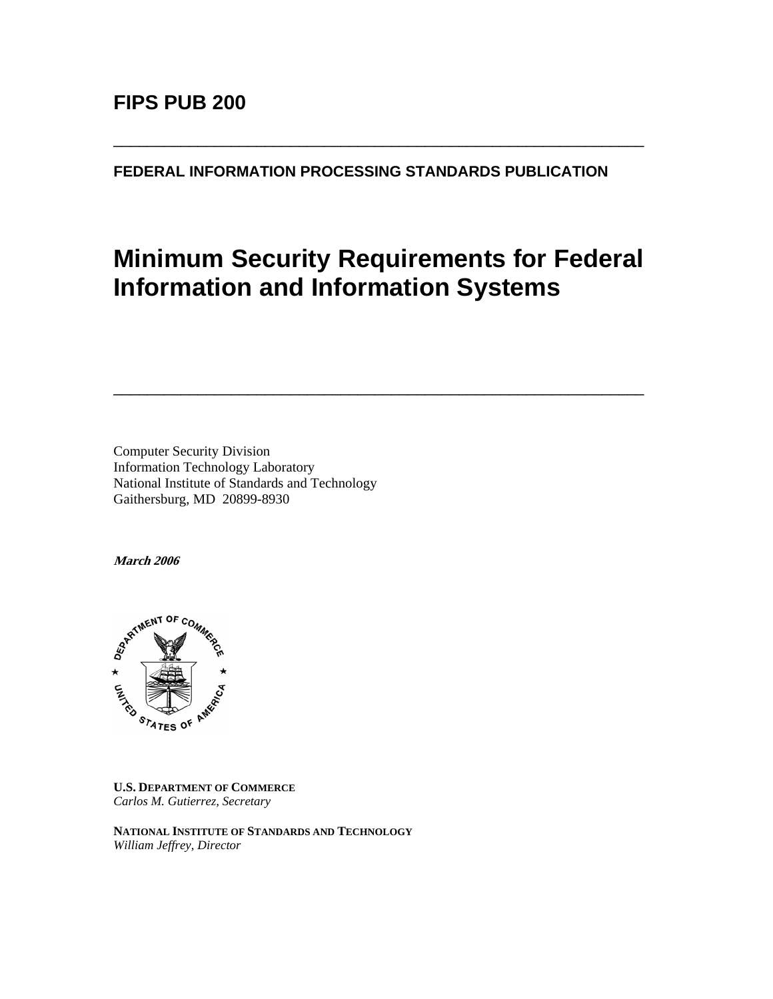**FEDERAL INFORMATION PROCESSING STANDARDS PUBLICATION** 

\_\_\_\_\_\_\_\_\_\_\_\_\_\_\_\_\_\_\_\_\_\_\_\_\_\_\_\_\_\_\_\_\_\_\_\_\_\_\_\_\_\_\_\_\_\_\_\_\_\_\_\_\_\_\_\_\_\_\_\_\_\_\_

# **Minimum Security Requirements for Federal Information and Information Systems**

\_\_\_\_\_\_\_\_\_\_\_\_\_\_\_\_\_\_\_\_\_\_\_\_\_\_\_\_\_\_\_\_\_\_\_\_\_\_\_\_\_\_\_\_\_\_\_\_\_\_\_\_\_\_\_\_\_\_\_\_\_\_\_

Computer Security Division Information Technology Laboratory National Institute of Standards and Technology Gaithersburg, MD 20899-8930

**March 2006**



**U.S. DEPARTMENT OF COMMERCE** *Carlos M. Gutierrez, Secretary* 

**NATIONAL INSTITUTE OF STANDARDS AND TECHNOLOGY** *William Jeffrey, Director*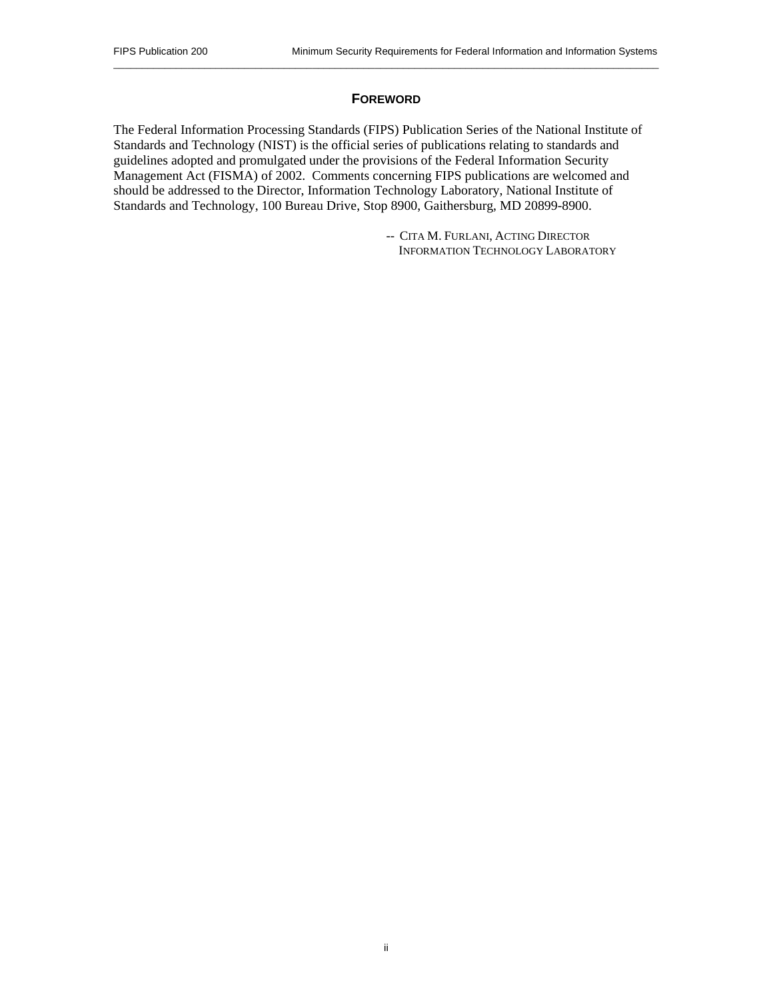#### **FOREWORD**

\_\_\_\_\_\_\_\_\_\_\_\_\_\_\_\_\_\_\_\_\_\_\_\_\_\_\_\_\_\_\_\_\_\_\_\_\_\_\_\_\_\_\_\_\_\_\_\_\_\_\_\_\_\_\_\_\_\_\_\_\_\_\_\_\_\_\_\_\_\_\_\_\_\_\_\_\_\_\_\_\_\_\_\_\_\_\_\_\_\_\_\_\_\_\_\_

The Federal Information Processing Standards (FIPS) Publication Series of the National Institute of Standards and Technology (NIST) is the official series of publications relating to standards and guidelines adopted and promulgated under the provisions of the Federal Information Security Management Act (FISMA) of 2002. Comments concerning FIPS publications are welcomed and should be addressed to the Director, Information Technology Laboratory, National Institute of Standards and Technology, 100 Bureau Drive, Stop 8900, Gaithersburg, MD 20899-8900.

> -- CITA M. FURLANI, ACTING DIRECTOR INFORMATION TECHNOLOGY LABORATORY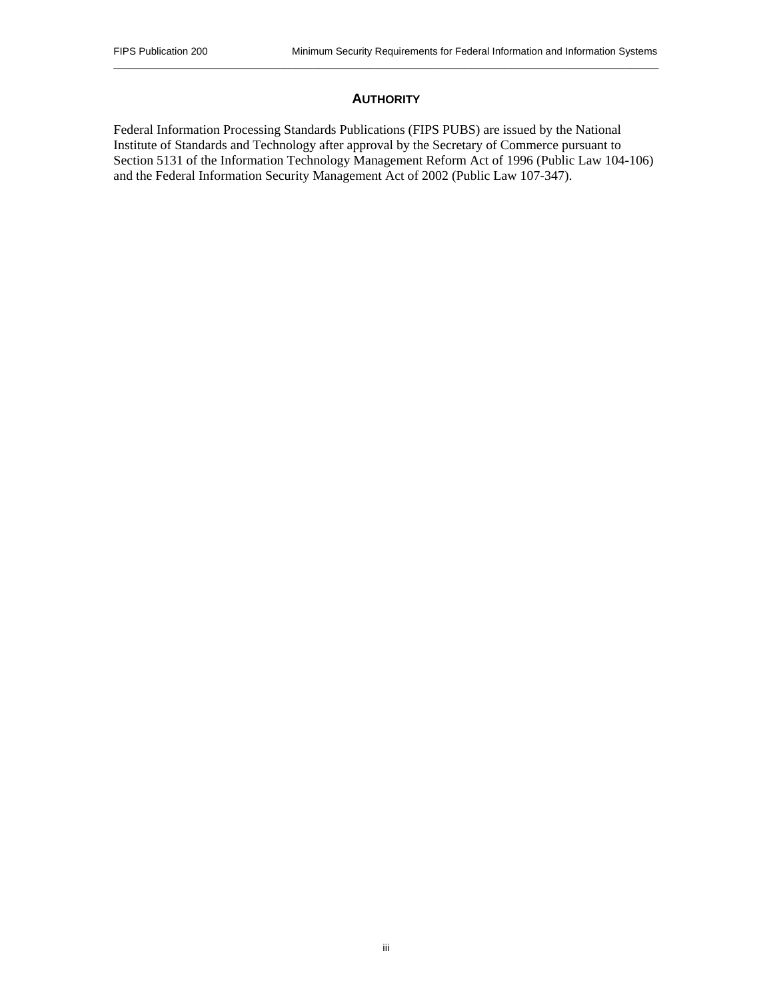#### **AUTHORITY**

\_\_\_\_\_\_\_\_\_\_\_\_\_\_\_\_\_\_\_\_\_\_\_\_\_\_\_\_\_\_\_\_\_\_\_\_\_\_\_\_\_\_\_\_\_\_\_\_\_\_\_\_\_\_\_\_\_\_\_\_\_\_\_\_\_\_\_\_\_\_\_\_\_\_\_\_\_\_\_\_\_\_\_\_\_\_\_\_\_\_\_\_\_\_\_\_

Federal Information Processing Standards Publications (FIPS PUBS) are issued by the National Institute of Standards and Technology after approval by the Secretary of Commerce pursuant to Section 5131 of the Information Technology Management Reform Act of 1996 (Public Law 104-106) and the Federal Information Security Management Act of 2002 (Public Law 107-347).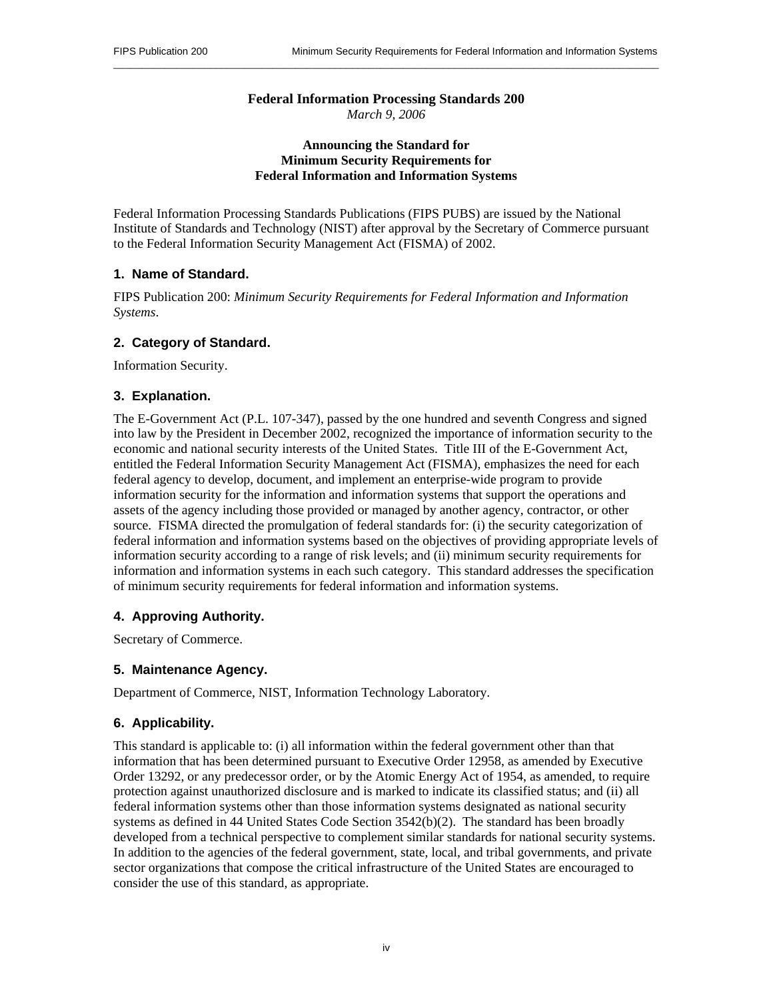#### **Federal Information Processing Standards 200** *March 9, 2006*

\_\_\_\_\_\_\_\_\_\_\_\_\_\_\_\_\_\_\_\_\_\_\_\_\_\_\_\_\_\_\_\_\_\_\_\_\_\_\_\_\_\_\_\_\_\_\_\_\_\_\_\_\_\_\_\_\_\_\_\_\_\_\_\_\_\_\_\_\_\_\_\_\_\_\_\_\_\_\_\_\_\_\_\_\_\_\_\_\_\_\_\_\_\_\_\_

#### **Announcing the Standard for Minimum Security Requirements for Federal Information and Information Systems**

Federal Information Processing Standards Publications (FIPS PUBS) are issued by the National Institute of Standards and Technology (NIST) after approval by the Secretary of Commerce pursuant to the Federal Information Security Management Act (FISMA) of 2002.

## **1. Name of Standard.**

FIPS Publication 200: *Minimum Security Requirements for Federal Information and Information Systems*.

### **2. Category of Standard.**

Information Security.

### **3. Explanation.**

The E-Government Act (P.L. 107-347), passed by the one hundred and seventh Congress and signed into law by the President in December 2002, recognized the importance of information security to the economic and national security interests of the United States. Title III of the E-Government Act, entitled the Federal Information Security Management Act (FISMA), emphasizes the need for each federal agency to develop, document, and implement an enterprise-wide program to provide information security for the information and information systems that support the operations and assets of the agency including those provided or managed by another agency, contractor, or other source. FISMA directed the promulgation of federal standards for: (i) the security categorization of federal information and information systems based on the objectives of providing appropriate levels of information security according to a range of risk levels; and (ii) minimum security requirements for information and information systems in each such category. This standard addresses the specification of minimum security requirements for federal information and information systems.

## **4. Approving Authority.**

Secretary of Commerce.

#### **5. Maintenance Agency.**

Department of Commerce, NIST, Information Technology Laboratory.

#### **6. Applicability.**

This standard is applicable to: (i) all information within the federal government other than that information that has been determined pursuant to Executive Order 12958, as amended by Executive Order 13292, or any predecessor order, or by the Atomic Energy Act of 1954, as amended, to require protection against unauthorized disclosure and is marked to indicate its classified status; and (ii) all federal information systems other than those information systems designated as national security systems as defined in 44 United States Code Section 3542(b)(2). The standard has been broadly developed from a technical perspective to complement similar standards for national security systems. In addition to the agencies of the federal government, state, local, and tribal governments, and private sector organizations that compose the critical infrastructure of the United States are encouraged to consider the use of this standard, as appropriate.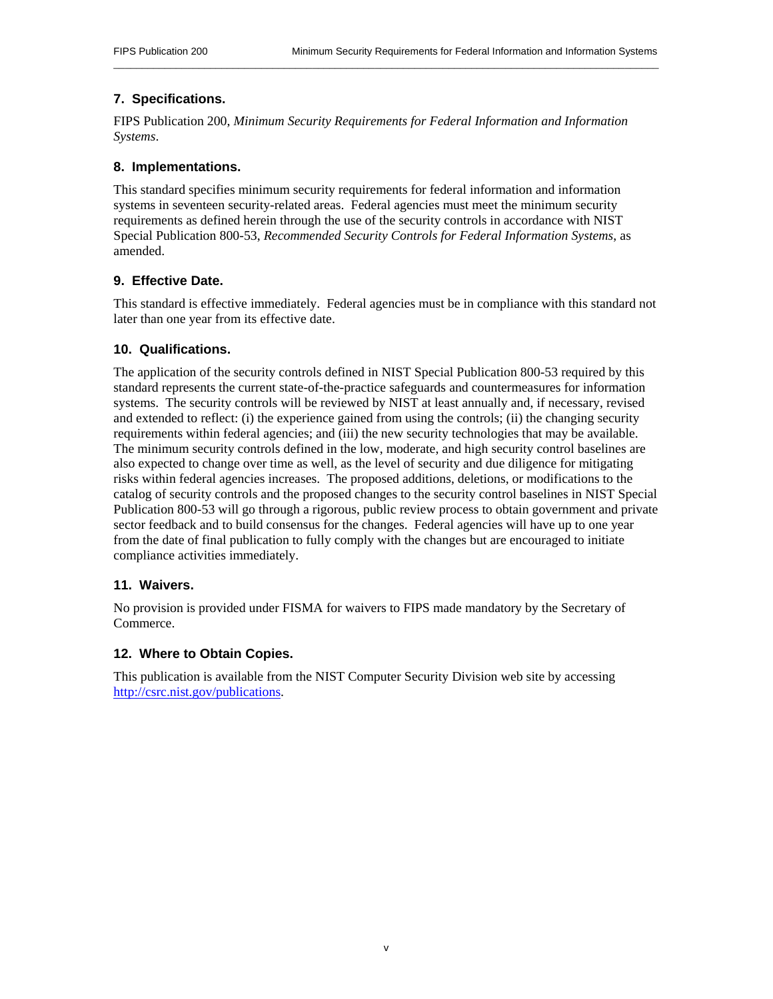## **7. Specifications.**

FIPS Publication 200, *Minimum Security Requirements for Federal Information and Information Systems*.

\_\_\_\_\_\_\_\_\_\_\_\_\_\_\_\_\_\_\_\_\_\_\_\_\_\_\_\_\_\_\_\_\_\_\_\_\_\_\_\_\_\_\_\_\_\_\_\_\_\_\_\_\_\_\_\_\_\_\_\_\_\_\_\_\_\_\_\_\_\_\_\_\_\_\_\_\_\_\_\_\_\_\_\_\_\_\_\_\_\_\_\_\_\_\_\_

#### **8. Implementations.**

This standard specifies minimum security requirements for federal information and information systems in seventeen security-related areas. Federal agencies must meet the minimum security requirements as defined herein through the use of the security controls in accordance with NIST Special Publication 800-53, *Recommended Security Controls for Federal Information Systems*, as amended.

### **9. Effective Date.**

This standard is effective immediately. Federal agencies must be in compliance with this standard not later than one year from its effective date.

#### **10. Qualifications.**

The application of the security controls defined in NIST Special Publication 800-53 required by this standard represents the current state-of-the-practice safeguards and countermeasures for information systems. The security controls will be reviewed by NIST at least annually and, if necessary, revised and extended to reflect: (i) the experience gained from using the controls; (ii) the changing security requirements within federal agencies; and (iii) the new security technologies that may be available. The minimum security controls defined in the low, moderate, and high security control baselines are also expected to change over time as well, as the level of security and due diligence for mitigating risks within federal agencies increases. The proposed additions, deletions, or modifications to the catalog of security controls and the proposed changes to the security control baselines in NIST Special Publication 800-53 will go through a rigorous, public review process to obtain government and private sector feedback and to build consensus for the changes. Federal agencies will have up to one year from the date of final publication to fully comply with the changes but are encouraged to initiate compliance activities immediately.

#### **11. Waivers.**

No provision is provided under FISMA for waivers to FIPS made mandatory by the Secretary of Commerce.

#### **12. Where to Obtain Copies.**

This publication is available from the NIST Computer Security Division web site by accessing http://csrc.nist.gov/publications.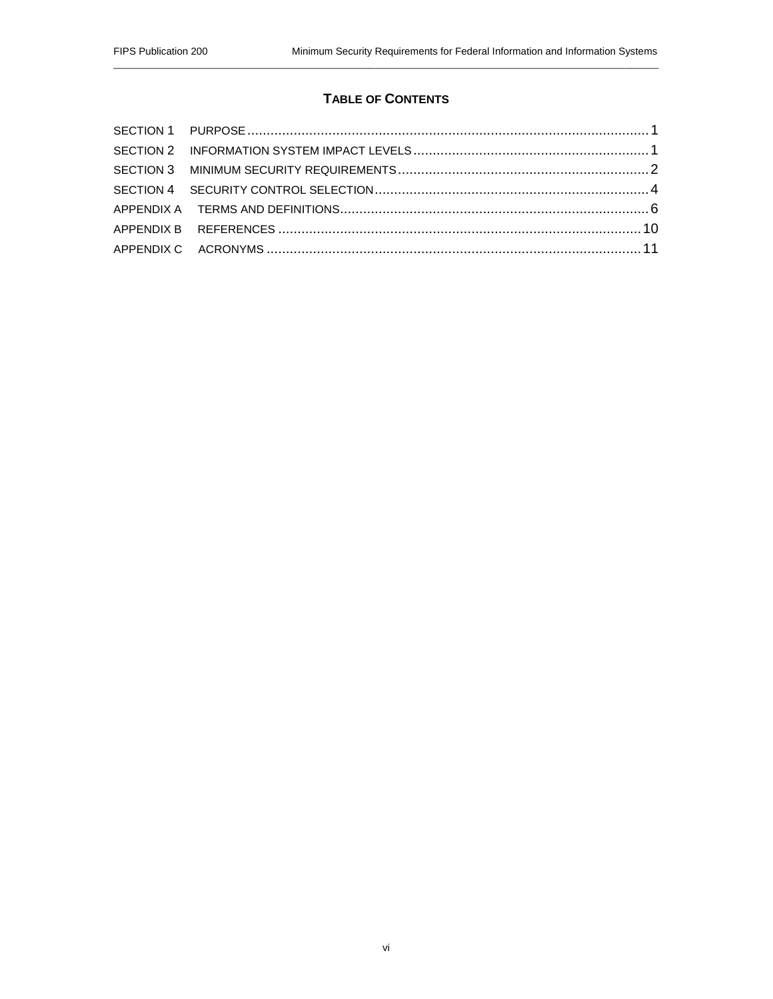## **TABLE OF CONTENTS**

\_\_\_\_\_\_\_\_\_\_\_\_\_\_\_\_\_\_\_\_\_\_\_\_\_\_\_\_\_\_\_\_\_\_\_\_\_\_\_\_\_\_\_\_\_\_\_\_\_\_\_\_\_\_\_\_\_\_\_\_\_\_\_\_\_\_\_\_\_\_\_\_\_\_\_\_\_\_\_\_\_\_\_\_\_\_\_\_\_\_\_\_\_\_\_\_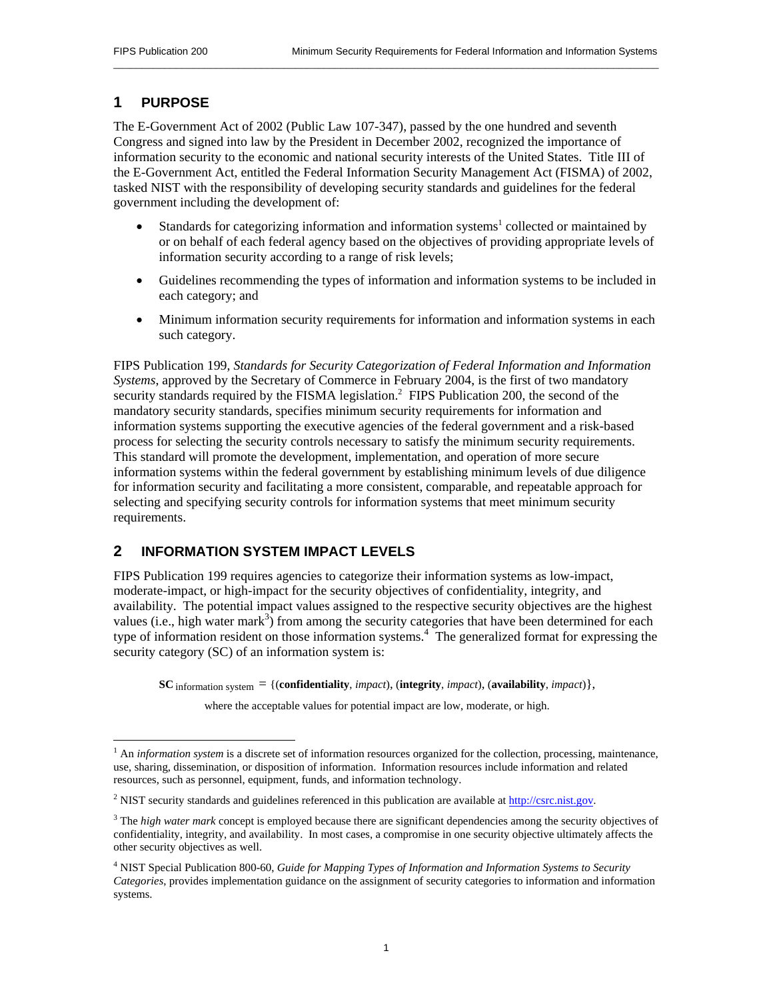## **1 PURPOSE**

The E-Government Act of 2002 (Public Law 107-347), passed by the one hundred and seventh Congress and signed into law by the President in December 2002, recognized the importance of information security to the economic and national security interests of the United States. Title III of the E-Government Act, entitled the Federal Information Security Management Act (FISMA) of 2002, tasked NIST with the responsibility of developing security standards and guidelines for the federal government including the development of:

\_\_\_\_\_\_\_\_\_\_\_\_\_\_\_\_\_\_\_\_\_\_\_\_\_\_\_\_\_\_\_\_\_\_\_\_\_\_\_\_\_\_\_\_\_\_\_\_\_\_\_\_\_\_\_\_\_\_\_\_\_\_\_\_\_\_\_\_\_\_\_\_\_\_\_\_\_\_\_\_\_\_\_\_\_\_\_\_\_\_\_\_\_\_\_\_

- Standards for categorizing information and information systems<sup>1</sup> collected or maintained by or on behalf of each federal agency based on the objectives of providing appropriate levels of information security according to a range of risk levels;
- Guidelines recommending the types of information and information systems to be included in each category; and
- Minimum information security requirements for information and information systems in each such category.

FIPS Publication 199, *Standards for Security Categorization of Federal Information and Information Systems*, approved by the Secretary of Commerce in February 2004, is the first of two mandatory security standards required by the FISMA legislation.<sup>2</sup> FIPS Publication 200, the second of the mandatory security standards, specifies minimum security requirements for information and information systems supporting the executive agencies of the federal government and a risk-based process for selecting the security controls necessary to satisfy the minimum security requirements. This standard will promote the development, implementation, and operation of more secure information systems within the federal government by establishing minimum levels of due diligence for information security and facilitating a more consistent, comparable, and repeatable approach for selecting and specifying security controls for information systems that meet minimum security requirements.

## **2 INFORMATION SYSTEM IMPACT LEVELS**

FIPS Publication 199 requires agencies to categorize their information systems as low-impact, moderate-impact, or high-impact for the security objectives of confidentiality, integrity, and availability. The potential impact values assigned to the respective security objectives are the highest values (i.e., high water mark<sup>3</sup>) from among the security categories that have been determined for each type of information resident on those information systems. 4 The generalized format for expressing the security category (SC) of an information system is:

**SC** information system = {(**confidentiality**, *impact*), (**integrity**, *impact*), (**availability**, *impact*)},

where the acceptable values for potential impact are low, moderate, or high.

 $\overline{a}$ <sup>1</sup> An *information system* is a discrete set of information resources organized for the collection, processing, maintenance, use, sharing, dissemination, or disposition of information. Information resources include information and related resources, such as personnel, equipment, funds, and information technology.

<sup>&</sup>lt;sup>2</sup> NIST security standards and guidelines referenced in this publication are available at  $\underline{http://csrc.nist.gov}$ .

<sup>3</sup> The *high water mark* concept is employed because there are significant dependencies among the security objectives of confidentiality, integrity, and availability. In most cases, a compromise in one security objective ultimately affects the other security objectives as well.

<sup>4</sup> NIST Special Publication 800-60, *Guide for Mapping Types of Information and Information Systems to Security Categories*, provides implementation guidance on the assignment of security categories to information and information systems.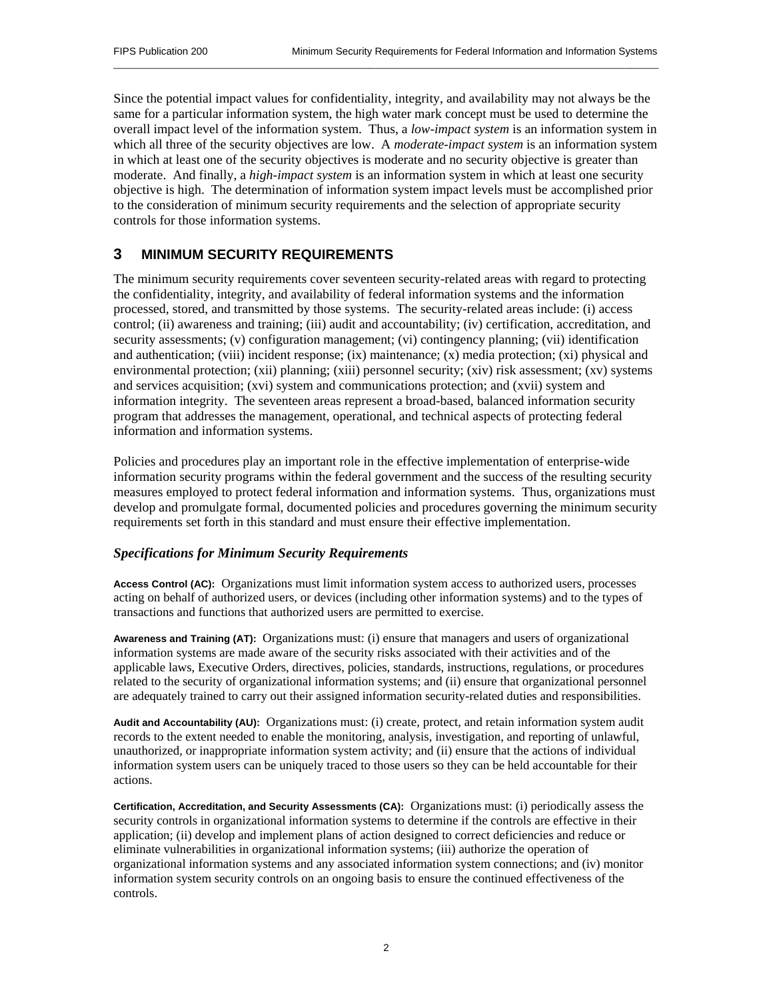Since the potential impact values for confidentiality, integrity, and availability may not always be the same for a particular information system, the high water mark concept must be used to determine the overall impact level of the information system. Thus, a *low-impact system* is an information system in which all three of the security objectives are low. A *moderate-impact system* is an information system in which at least one of the security objectives is moderate and no security objective is greater than moderate. And finally, a *high-impact system* is an information system in which at least one security objective is high. The determination of information system impact levels must be accomplished prior to the consideration of minimum security requirements and the selection of appropriate security controls for those information systems.

\_\_\_\_\_\_\_\_\_\_\_\_\_\_\_\_\_\_\_\_\_\_\_\_\_\_\_\_\_\_\_\_\_\_\_\_\_\_\_\_\_\_\_\_\_\_\_\_\_\_\_\_\_\_\_\_\_\_\_\_\_\_\_\_\_\_\_\_\_\_\_\_\_\_\_\_\_\_\_\_\_\_\_\_\_\_\_\_\_\_\_\_\_\_\_\_

## **3 MINIMUM SECURITY REQUIREMENTS**

The minimum security requirements cover seventeen security-related areas with regard to protecting the confidentiality, integrity, and availability of federal information systems and the information processed, stored, and transmitted by those systems. The security-related areas include: (i) access control; (ii) awareness and training; (iii) audit and accountability; (iv) certification, accreditation, and security assessments; (v) configuration management; (vi) contingency planning; (vii) identification and authentication; (viii) incident response; (ix) maintenance; (x) media protection; (xi) physical and environmental protection; (xii) planning; (xiii) personnel security; (xiv) risk assessment; (xv) systems and services acquisition; (xvi) system and communications protection; and (xvii) system and information integrity. The seventeen areas represent a broad-based, balanced information security program that addresses the management, operational, and technical aspects of protecting federal information and information systems.

Policies and procedures play an important role in the effective implementation of enterprise-wide information security programs within the federal government and the success of the resulting security measures employed to protect federal information and information systems. Thus, organizations must develop and promulgate formal, documented policies and procedures governing the minimum security requirements set forth in this standard and must ensure their effective implementation.

#### *Specifications for Minimum Security Requirements*

**Access Control (AC):** Organizations must limit information system access to authorized users, processes acting on behalf of authorized users, or devices (including other information systems) and to the types of transactions and functions that authorized users are permitted to exercise.

**Awareness and Training (AT):** Organizations must: (i) ensure that managers and users of organizational information systems are made aware of the security risks associated with their activities and of the applicable laws, Executive Orders, directives, policies, standards, instructions, regulations, or procedures related to the security of organizational information systems; and (ii) ensure that organizational personnel are adequately trained to carry out their assigned information security-related duties and responsibilities.

**Audit and Accountability (AU):** Organizations must: (i) create, protect, and retain information system audit records to the extent needed to enable the monitoring, analysis, investigation, and reporting of unlawful, unauthorized, or inappropriate information system activity; and (ii) ensure that the actions of individual information system users can be uniquely traced to those users so they can be held accountable for their actions.

**Certification, Accreditation, and Security Assessments (CA):** Organizations must: (i) periodically assess the security controls in organizational information systems to determine if the controls are effective in their application; (ii) develop and implement plans of action designed to correct deficiencies and reduce or eliminate vulnerabilities in organizational information systems; (iii) authorize the operation of organizational information systems and any associated information system connections; and (iv) monitor information system security controls on an ongoing basis to ensure the continued effectiveness of the controls.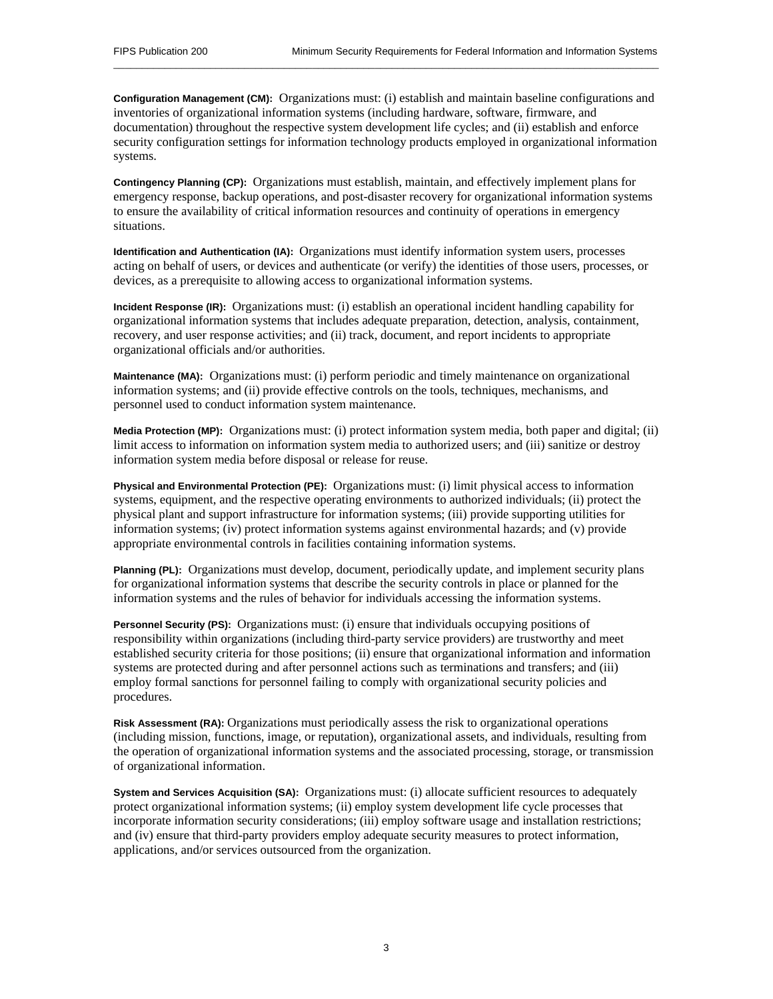**Configuration Management (CM):** Organizations must: (i) establish and maintain baseline configurations and inventories of organizational information systems (including hardware, software, firmware, and documentation) throughout the respective system development life cycles; and (ii) establish and enforce security configuration settings for information technology products employed in organizational information systems.

\_\_\_\_\_\_\_\_\_\_\_\_\_\_\_\_\_\_\_\_\_\_\_\_\_\_\_\_\_\_\_\_\_\_\_\_\_\_\_\_\_\_\_\_\_\_\_\_\_\_\_\_\_\_\_\_\_\_\_\_\_\_\_\_\_\_\_\_\_\_\_\_\_\_\_\_\_\_\_\_\_\_\_\_\_\_\_\_\_\_\_\_\_\_\_\_

**Contingency Planning (CP):** Organizations must establish, maintain, and effectively implement plans for emergency response, backup operations, and post-disaster recovery for organizational information systems to ensure the availability of critical information resources and continuity of operations in emergency situations.

**Identification and Authentication (IA):** Organizations must identify information system users, processes acting on behalf of users, or devices and authenticate (or verify) the identities of those users, processes, or devices, as a prerequisite to allowing access to organizational information systems.

**Incident Response (IR):** Organizations must: (i) establish an operational incident handling capability for organizational information systems that includes adequate preparation, detection, analysis, containment, recovery, and user response activities; and (ii) track, document, and report incidents to appropriate organizational officials and/or authorities.

**Maintenance (MA):** Organizations must: (i) perform periodic and timely maintenance on organizational information systems; and (ii) provide effective controls on the tools, techniques, mechanisms, and personnel used to conduct information system maintenance.

**Media Protection (MP):** Organizations must: (i) protect information system media, both paper and digital; (ii) limit access to information on information system media to authorized users; and (iii) sanitize or destroy information system media before disposal or release for reuse.

**Physical and Environmental Protection (PE):** Organizations must: (i) limit physical access to information systems, equipment, and the respective operating environments to authorized individuals; (ii) protect the physical plant and support infrastructure for information systems; (iii) provide supporting utilities for information systems; (iv) protect information systems against environmental hazards; and (v) provide appropriate environmental controls in facilities containing information systems.

**Planning (PL):** Organizations must develop, document, periodically update, and implement security plans for organizational information systems that describe the security controls in place or planned for the information systems and the rules of behavior for individuals accessing the information systems.

**Personnel Security (PS):** Organizations must: (i) ensure that individuals occupying positions of responsibility within organizations (including third-party service providers) are trustworthy and meet established security criteria for those positions; (ii) ensure that organizational information and information systems are protected during and after personnel actions such as terminations and transfers; and (iii) employ formal sanctions for personnel failing to comply with organizational security policies and procedures.

**Risk Assessment (RA):** Organizations must periodically assess the risk to organizational operations (including mission, functions, image, or reputation), organizational assets, and individuals, resulting from the operation of organizational information systems and the associated processing, storage, or transmission of organizational information.

**System and Services Acquisition (SA):** Organizations must: (i) allocate sufficient resources to adequately protect organizational information systems; (ii) employ system development life cycle processes that incorporate information security considerations; (iii) employ software usage and installation restrictions; and (iv) ensure that third-party providers employ adequate security measures to protect information, applications, and/or services outsourced from the organization.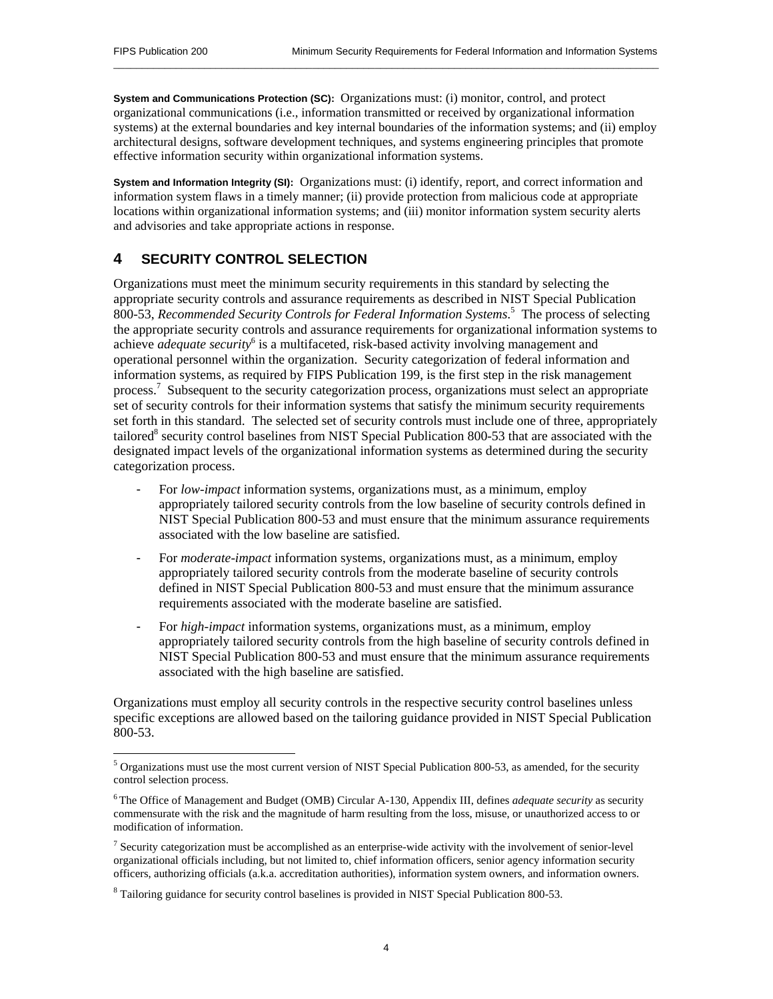**System and Communications Protection (SC):** Organizations must: (i) monitor, control, and protect organizational communications (i.e., information transmitted or received by organizational information systems) at the external boundaries and key internal boundaries of the information systems; and (ii) employ architectural designs, software development techniques, and systems engineering principles that promote effective information security within organizational information systems.

\_\_\_\_\_\_\_\_\_\_\_\_\_\_\_\_\_\_\_\_\_\_\_\_\_\_\_\_\_\_\_\_\_\_\_\_\_\_\_\_\_\_\_\_\_\_\_\_\_\_\_\_\_\_\_\_\_\_\_\_\_\_\_\_\_\_\_\_\_\_\_\_\_\_\_\_\_\_\_\_\_\_\_\_\_\_\_\_\_\_\_\_\_\_\_\_

**System and Information Integrity (SI):** Organizations must: (i) identify, report, and correct information and information system flaws in a timely manner; (ii) provide protection from malicious code at appropriate locations within organizational information systems; and (iii) monitor information system security alerts and advisories and take appropriate actions in response.

## **4 SECURITY CONTROL SELECTION**

Organizations must meet the minimum security requirements in this standard by selecting the appropriate security controls and assurance requirements as described in NIST Special Publication 800-53, *Recommended Security Controls for Federal Information Systems*. 5 The process of selecting the appropriate security controls and assurance requirements for organizational information systems to achieve *adequate security*<sup>6</sup> is a multifaceted, risk-based activity involving management and operational personnel within the organization. Security categorization of federal information and information systems, as required by FIPS Publication 199, is the first step in the risk management process.<sup>7</sup> Subsequent to the security categorization process, organizations must select an appropriate set of security controls for their information systems that satisfy the minimum security requirements set forth in this standard. The selected set of security controls must include one of three, appropriately tailored<sup>8</sup> security control baselines from NIST Special Publication 800-53 that are associated with the designated impact levels of the organizational information systems as determined during the security categorization process.

- For *low-impact* information systems, organizations must, as a minimum, employ appropriately tailored security controls from the low baseline of security controls defined in NIST Special Publication 800-53 and must ensure that the minimum assurance requirements associated with the low baseline are satisfied.
- For *moderate-impact* information systems, organizations must, as a minimum, employ appropriately tailored security controls from the moderate baseline of security controls defined in NIST Special Publication 800-53 and must ensure that the minimum assurance requirements associated with the moderate baseline are satisfied.
- For *high-impact* information systems, organizations must, as a minimum, employ appropriately tailored security controls from the high baseline of security controls defined in NIST Special Publication 800-53 and must ensure that the minimum assurance requirements associated with the high baseline are satisfied.

Organizations must employ all security controls in the respective security control baselines unless specific exceptions are allowed based on the tailoring guidance provided in NIST Special Publication 800-53.

<sup>&</sup>lt;sup>5</sup> Organizations must use the most current version of NIST Special Publication 800-53, as amended, for the security control selection process.

<sup>6</sup> The Office of Management and Budget (OMB) Circular A-130, Appendix III, defines *adequate security* as security commensurate with the risk and the magnitude of harm resulting from the loss, misuse, or unauthorized access to or modification of information.

 $7$  Security categorization must be accomplished as an enterprise-wide activity with the involvement of senior-level organizational officials including, but not limited to, chief information officers, senior agency information security officers, authorizing officials (a.k.a. accreditation authorities), information system owners, and information owners.

<sup>&</sup>lt;sup>8</sup> Tailoring guidance for security control baselines is provided in NIST Special Publication 800-53.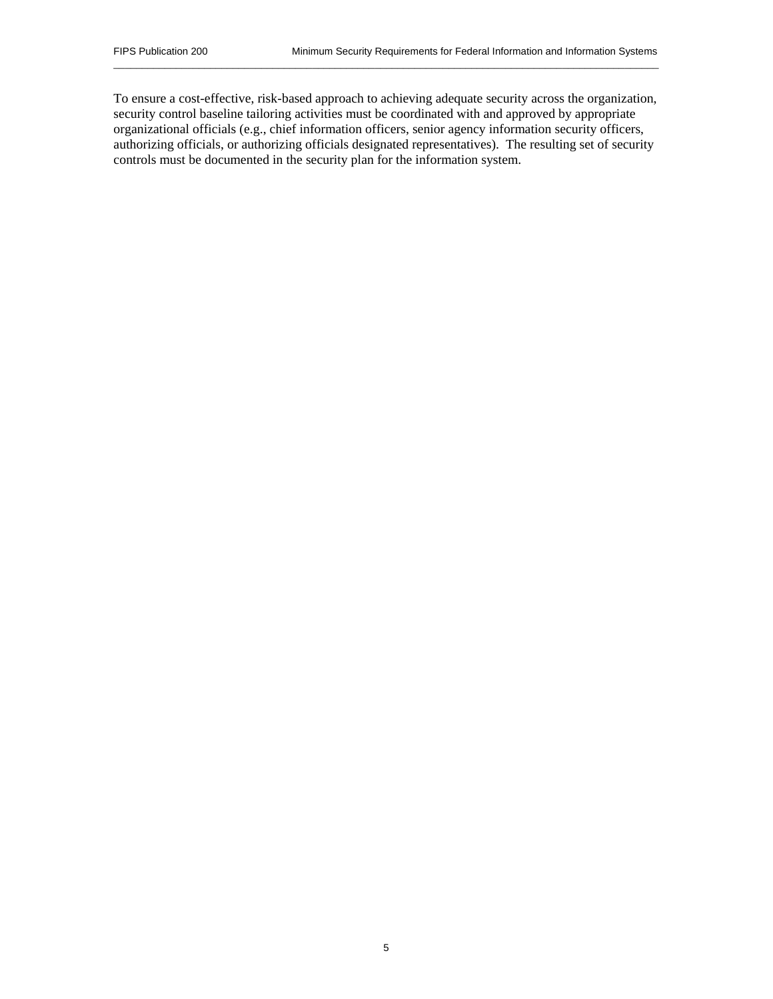To ensure a cost-effective, risk-based approach to achieving adequate security across the organization, security control baseline tailoring activities must be coordinated with and approved by appropriate organizational officials (e.g., chief information officers, senior agency information security officers, authorizing officials, or authorizing officials designated representatives). The resulting set of security controls must be documented in the security plan for the information system.

\_\_\_\_\_\_\_\_\_\_\_\_\_\_\_\_\_\_\_\_\_\_\_\_\_\_\_\_\_\_\_\_\_\_\_\_\_\_\_\_\_\_\_\_\_\_\_\_\_\_\_\_\_\_\_\_\_\_\_\_\_\_\_\_\_\_\_\_\_\_\_\_\_\_\_\_\_\_\_\_\_\_\_\_\_\_\_\_\_\_\_\_\_\_\_\_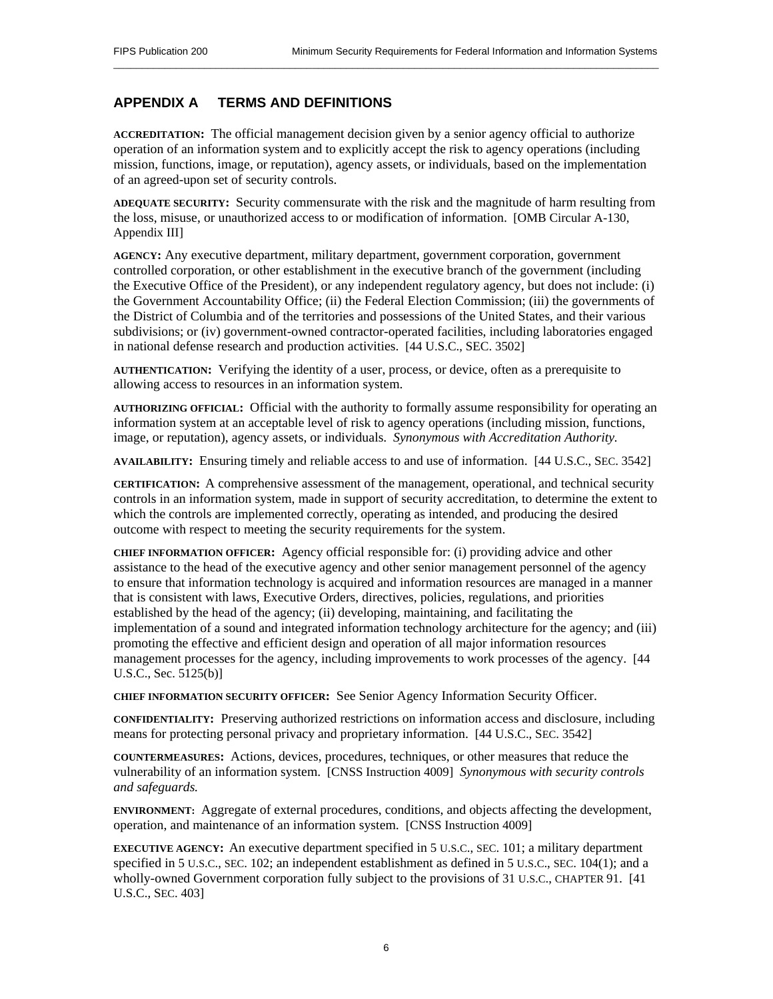## **APPENDIX A TERMS AND DEFINITIONS**

**ACCREDITATION:** The official management decision given by a senior agency official to authorize operation of an information system and to explicitly accept the risk to agency operations (including mission, functions, image, or reputation), agency assets, or individuals, based on the implementation of an agreed-upon set of security controls.

\_\_\_\_\_\_\_\_\_\_\_\_\_\_\_\_\_\_\_\_\_\_\_\_\_\_\_\_\_\_\_\_\_\_\_\_\_\_\_\_\_\_\_\_\_\_\_\_\_\_\_\_\_\_\_\_\_\_\_\_\_\_\_\_\_\_\_\_\_\_\_\_\_\_\_\_\_\_\_\_\_\_\_\_\_\_\_\_\_\_\_\_\_\_\_\_

**ADEQUATE SECURITY:** Security commensurate with the risk and the magnitude of harm resulting from the loss, misuse, or unauthorized access to or modification of information. [OMB Circular A-130, Appendix III]

**AGENCY:** Any executive department, military department, government corporation, government controlled corporation, or other establishment in the executive branch of the government (including the Executive Office of the President), or any independent regulatory agency, but does not include: (i) the Government Accountability Office; (ii) the Federal Election Commission; (iii) the governments of the District of Columbia and of the territories and possessions of the United States, and their various subdivisions; or (iv) government-owned contractor-operated facilities, including laboratories engaged in national defense research and production activities. [44 U.S.C., SEC. 3502]

**AUTHENTICATION:** Verifying the identity of a user, process, or device, often as a prerequisite to allowing access to resources in an information system.

**AUTHORIZING OFFICIAL:** Official with the authority to formally assume responsibility for operating an information system at an acceptable level of risk to agency operations (including mission, functions, image, or reputation), agency assets, or individuals. *Synonymous with Accreditation Authority.* 

**AVAILABILITY:** Ensuring timely and reliable access to and use of information. [44 U.S.C., SEC. 3542]

**CERTIFICATION:** A comprehensive assessment of the management, operational, and technical security controls in an information system, made in support of security accreditation, to determine the extent to which the controls are implemented correctly, operating as intended, and producing the desired outcome with respect to meeting the security requirements for the system.

**CHIEF INFORMATION OFFICER:** Agency official responsible for: (i) providing advice and other assistance to the head of the executive agency and other senior management personnel of the agency to ensure that information technology is acquired and information resources are managed in a manner that is consistent with laws, Executive Orders, directives, policies, regulations, and priorities established by the head of the agency; (ii) developing, maintaining, and facilitating the implementation of a sound and integrated information technology architecture for the agency; and (iii) promoting the effective and efficient design and operation of all major information resources management processes for the agency, including improvements to work processes of the agency. [44 U.S.C., Sec. 5125(b)]

**CHIEF INFORMATION SECURITY OFFICER:** See Senior Agency Information Security Officer.

**CONFIDENTIALITY:** Preserving authorized restrictions on information access and disclosure, including means for protecting personal privacy and proprietary information. [44 U.S.C., SEC. 3542]

**COUNTERMEASURES:** Actions, devices, procedures, techniques, or other measures that reduce the vulnerability of an information system. [CNSS Instruction 4009] *Synonymous with security controls and safeguards.*

**ENVIRONMENT:** Aggregate of external procedures, conditions, and objects affecting the development, operation, and maintenance of an information system. [CNSS Instruction 4009]

**EXECUTIVE AGENCY:** An executive department specified in 5 U.S.C., SEC. 101; a military department specified in 5 U.S.C., SEC. 102; an independent establishment as defined in 5 U.S.C., SEC. 104(1); and a wholly-owned Government corporation fully subject to the provisions of 31 U.S.C., CHAPTER 91. [41 U.S.C., SEC. 403]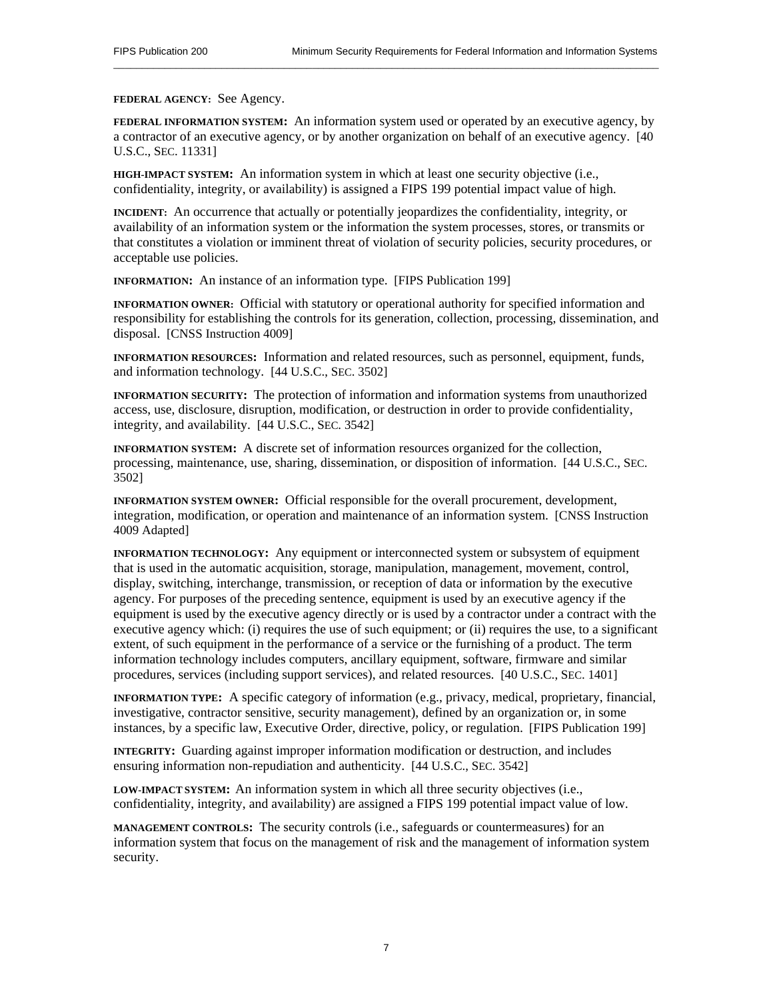**FEDERAL AGENCY:** See Agency.

**FEDERAL INFORMATION SYSTEM:** An information system used or operated by an executive agency, by a contractor of an executive agency, or by another organization on behalf of an executive agency. [40 U.S.C., SEC. 11331]

\_\_\_\_\_\_\_\_\_\_\_\_\_\_\_\_\_\_\_\_\_\_\_\_\_\_\_\_\_\_\_\_\_\_\_\_\_\_\_\_\_\_\_\_\_\_\_\_\_\_\_\_\_\_\_\_\_\_\_\_\_\_\_\_\_\_\_\_\_\_\_\_\_\_\_\_\_\_\_\_\_\_\_\_\_\_\_\_\_\_\_\_\_\_\_\_

**HIGH-IMPACT SYSTEM:** An information system in which at least one security objective (i.e., confidentiality, integrity, or availability) is assigned a FIPS 199 potential impact value of high.

**INCIDENT:** An occurrence that actually or potentially jeopardizes the confidentiality, integrity, or availability of an information system or the information the system processes, stores, or transmits or that constitutes a violation or imminent threat of violation of security policies, security procedures, or acceptable use policies.

**INFORMATION:** An instance of an information type. [FIPS Publication 199]

**INFORMATION OWNER:** Official with statutory or operational authority for specified information and responsibility for establishing the controls for its generation, collection, processing, dissemination, and disposal. [CNSS Instruction 4009]

**INFORMATION RESOURCES:** Information and related resources, such as personnel, equipment, funds, and information technology. [44 U.S.C., SEC. 3502]

**INFORMATION SECURITY:** The protection of information and information systems from unauthorized access, use, disclosure, disruption, modification, or destruction in order to provide confidentiality, integrity, and availability. [44 U.S.C., SEC. 3542]

**INFORMATION SYSTEM:** A discrete set of information resources organized for the collection, processing, maintenance, use, sharing, dissemination, or disposition of information. [44 U.S.C., SEC. 3502]

**INFORMATION SYSTEM OWNER:** Official responsible for the overall procurement, development, integration, modification, or operation and maintenance of an information system. [CNSS Instruction 4009 Adapted]

**INFORMATION TECHNOLOGY:** Any equipment or interconnected system or subsystem of equipment that is used in the automatic acquisition, storage, manipulation, management, movement, control, display, switching, interchange, transmission, or reception of data or information by the executive agency. For purposes of the preceding sentence, equipment is used by an executive agency if the equipment is used by the executive agency directly or is used by a contractor under a contract with the executive agency which: (i) requires the use of such equipment; or (ii) requires the use, to a significant extent, of such equipment in the performance of a service or the furnishing of a product. The term information technology includes computers, ancillary equipment, software, firmware and similar procedures, services (including support services), and related resources. [40 U.S.C., SEC. 1401]

**INFORMATION TYPE:** A specific category of information (e.g., privacy, medical, proprietary, financial, investigative, contractor sensitive, security management), defined by an organization or, in some instances, by a specific law, Executive Order, directive, policy, or regulation. [FIPS Publication 199]

**INTEGRITY:** Guarding against improper information modification or destruction, and includes ensuring information non-repudiation and authenticity. [44 U.S.C., SEC. 3542]

**LOW-IMPACT SYSTEM:** An information system in which all three security objectives (i.e., confidentiality, integrity, and availability) are assigned a FIPS 199 potential impact value of low.

**MANAGEMENT CONTROLS:** The security controls (i.e., safeguards or countermeasures) for an information system that focus on the management of risk and the management of information system security.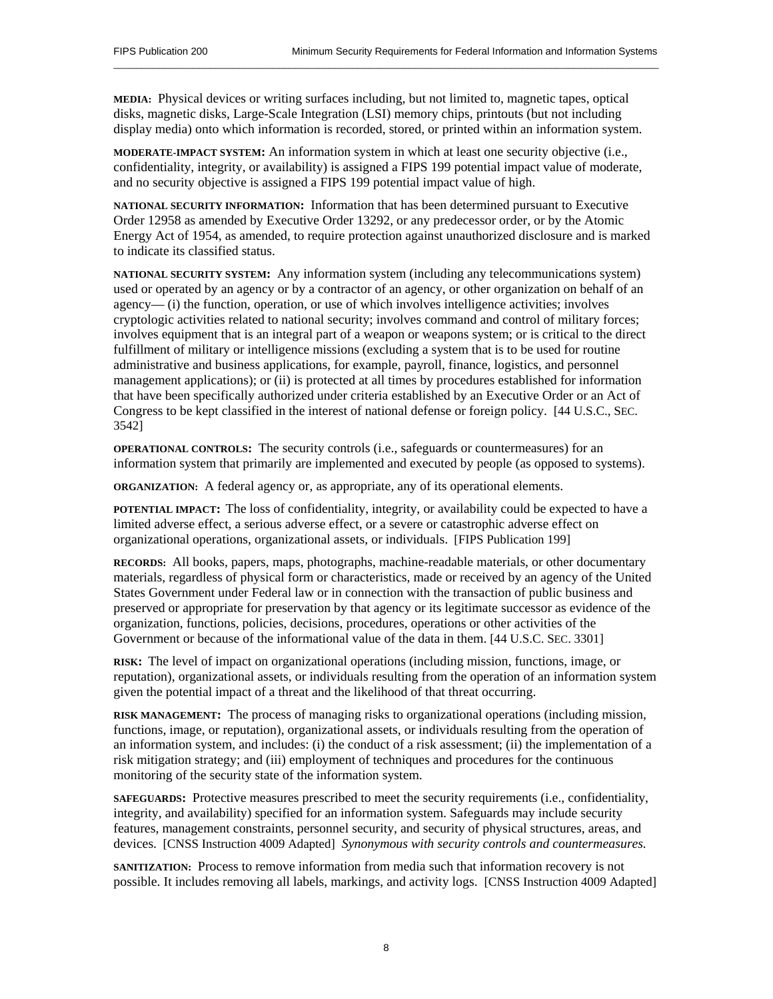**MEDIA:** Physical devices or writing surfaces including, but not limited to, magnetic tapes, optical disks, magnetic disks, Large-Scale Integration (LSI) memory chips, printouts (but not including display media) onto which information is recorded, stored, or printed within an information system.

\_\_\_\_\_\_\_\_\_\_\_\_\_\_\_\_\_\_\_\_\_\_\_\_\_\_\_\_\_\_\_\_\_\_\_\_\_\_\_\_\_\_\_\_\_\_\_\_\_\_\_\_\_\_\_\_\_\_\_\_\_\_\_\_\_\_\_\_\_\_\_\_\_\_\_\_\_\_\_\_\_\_\_\_\_\_\_\_\_\_\_\_\_\_\_\_

**MODERATE-IMPACT SYSTEM:** An information system in which at least one security objective (i.e., confidentiality, integrity, or availability) is assigned a FIPS 199 potential impact value of moderate, and no security objective is assigned a FIPS 199 potential impact value of high.

**NATIONAL SECURITY INFORMATION:** Information that has been determined pursuant to Executive Order 12958 as amended by Executive Order 13292, or any predecessor order, or by the Atomic Energy Act of 1954, as amended, to require protection against unauthorized disclosure and is marked to indicate its classified status.

**NATIONAL SECURITY SYSTEM:** Any information system (including any telecommunications system) used or operated by an agency or by a contractor of an agency, or other organization on behalf of an agency— (i) the function, operation, or use of which involves intelligence activities; involves cryptologic activities related to national security; involves command and control of military forces; involves equipment that is an integral part of a weapon or weapons system; or is critical to the direct fulfillment of military or intelligence missions (excluding a system that is to be used for routine administrative and business applications, for example, payroll, finance, logistics, and personnel management applications); or (ii) is protected at all times by procedures established for information that have been specifically authorized under criteria established by an Executive Order or an Act of Congress to be kept classified in the interest of national defense or foreign policy. [44 U.S.C., SEC. 3542]

**OPERATIONAL CONTROLS:** The security controls (i.e., safeguards or countermeasures) for an information system that primarily are implemented and executed by people (as opposed to systems).

**ORGANIZATION:** A federal agency or, as appropriate, any of its operational elements.

**POTENTIAL IMPACT:** The loss of confidentiality, integrity, or availability could be expected to have a limited adverse effect, a serious adverse effect, or a severe or catastrophic adverse effect on organizational operations, organizational assets, or individuals. [FIPS Publication 199]

**RECORDS:** All books, papers, maps, photographs, machine-readable materials, or other documentary materials, regardless of physical form or characteristics, made or received by an agency of the United States Government under Federal law or in connection with the transaction of public business and preserved or appropriate for preservation by that agency or its legitimate successor as evidence of the organization, functions, policies, decisions, procedures, operations or other activities of the Government or because of the informational value of the data in them. [44 U.S.C. SEC. 3301]

**RISK:** The level of impact on organizational operations (including mission, functions, image, or reputation), organizational assets, or individuals resulting from the operation of an information system given the potential impact of a threat and the likelihood of that threat occurring.

**RISK MANAGEMENT:** The process of managing risks to organizational operations (including mission, functions, image, or reputation), organizational assets, or individuals resulting from the operation of an information system, and includes: (i) the conduct of a risk assessment; (ii) the implementation of a risk mitigation strategy; and (iii) employment of techniques and procedures for the continuous monitoring of the security state of the information system.

**SAFEGUARDS:** Protective measures prescribed to meet the security requirements (i.e., confidentiality, integrity, and availability) specified for an information system. Safeguards may include security features, management constraints, personnel security, and security of physical structures, areas, and devices. [CNSS Instruction 4009 Adapted] *Synonymous with security controls and countermeasures.* 

**SANITIZATION:** Process to remove information from media such that information recovery is not possible. It includes removing all labels, markings, and activity logs. [CNSS Instruction 4009 Adapted]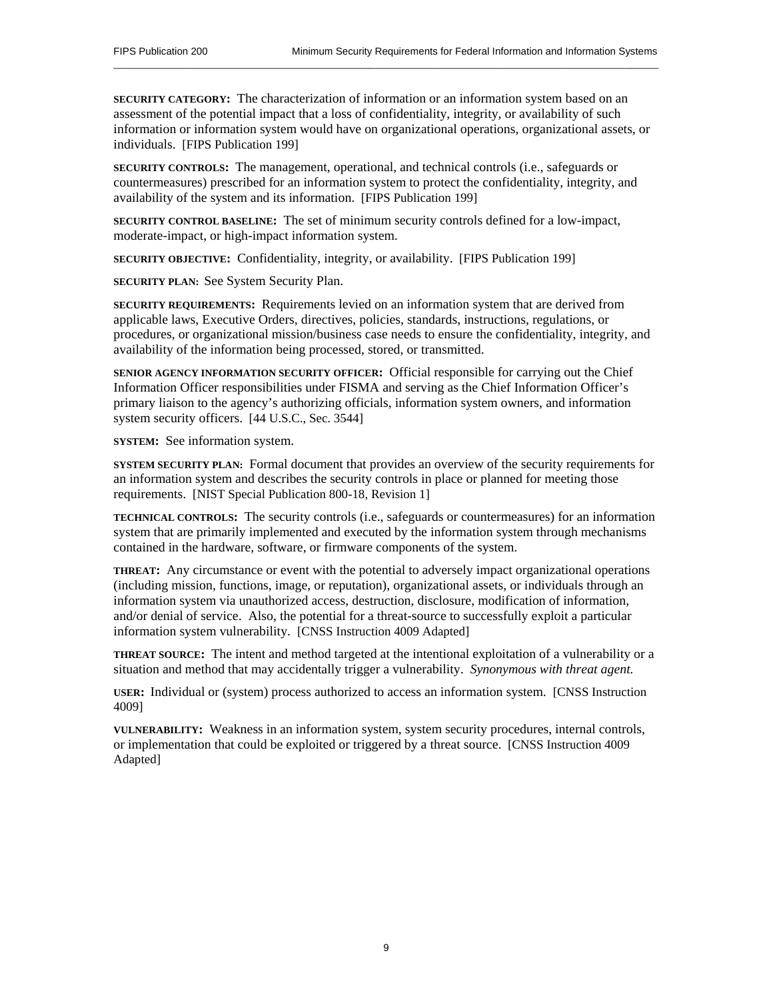**SECURITY CATEGORY:** The characterization of information or an information system based on an assessment of the potential impact that a loss of confidentiality, integrity, or availability of such information or information system would have on organizational operations, organizational assets, or individuals. [FIPS Publication 199]

\_\_\_\_\_\_\_\_\_\_\_\_\_\_\_\_\_\_\_\_\_\_\_\_\_\_\_\_\_\_\_\_\_\_\_\_\_\_\_\_\_\_\_\_\_\_\_\_\_\_\_\_\_\_\_\_\_\_\_\_\_\_\_\_\_\_\_\_\_\_\_\_\_\_\_\_\_\_\_\_\_\_\_\_\_\_\_\_\_\_\_\_\_\_\_\_

**SECURITY CONTROLS:** The management, operational, and technical controls (i.e., safeguards or countermeasures) prescribed for an information system to protect the confidentiality, integrity, and availability of the system and its information. [FIPS Publication 199]

**SECURITY CONTROL BASELINE:** The set of minimum security controls defined for a low-impact, moderate-impact, or high-impact information system.

**SECURITY OBJECTIVE:** Confidentiality, integrity, or availability. [FIPS Publication 199]

**SECURITY PLAN:** See System Security Plan.

**SECURITY REQUIREMENTS:** Requirements levied on an information system that are derived from applicable laws, Executive Orders, directives, policies, standards, instructions, regulations, or procedures, or organizational mission/business case needs to ensure the confidentiality, integrity, and availability of the information being processed, stored, or transmitted.

**SENIOR AGENCY INFORMATION SECURITY OFFICER:** Official responsible for carrying out the Chief Information Officer responsibilities under FISMA and serving as the Chief Information Officer's primary liaison to the agency's authorizing officials, information system owners, and information system security officers. [44 U.S.C., Sec. 3544]

**SYSTEM:** See information system.

**SYSTEM SECURITY PLAN:** Formal document that provides an overview of the security requirements for an information system and describes the security controls in place or planned for meeting those requirements. [NIST Special Publication 800-18, Revision 1]

**TECHNICAL CONTROLS:** The security controls (i.e., safeguards or countermeasures) for an information system that are primarily implemented and executed by the information system through mechanisms contained in the hardware, software, or firmware components of the system.

**THREAT:** Any circumstance or event with the potential to adversely impact organizational operations (including mission, functions, image, or reputation), organizational assets, or individuals through an information system via unauthorized access, destruction, disclosure, modification of information, and/or denial of service. Also, the potential for a threat-source to successfully exploit a particular information system vulnerability. [CNSS Instruction 4009 Adapted]

**THREAT SOURCE:** The intent and method targeted at the intentional exploitation of a vulnerability or a situation and method that may accidentally trigger a vulnerability. *Synonymous with threat agent.* 

**USER:** Individual or (system) process authorized to access an information system. [CNSS Instruction 4009]

**VULNERABILITY:** Weakness in an information system, system security procedures, internal controls, or implementation that could be exploited or triggered by a threat source. [CNSS Instruction 4009 Adapted]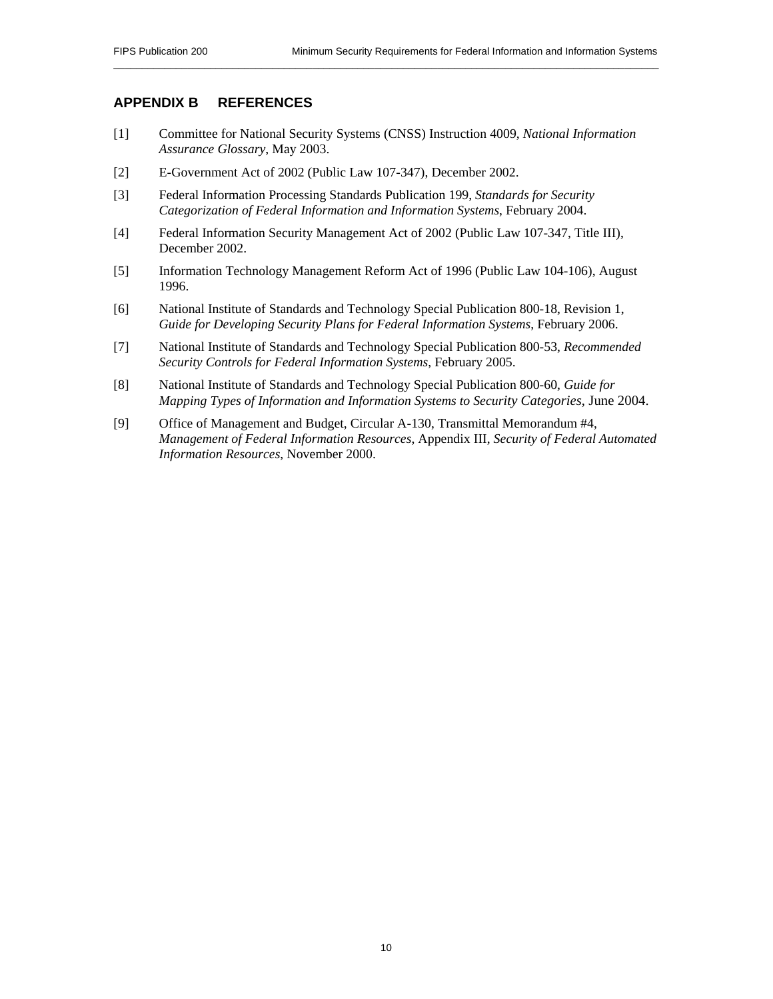#### **APPENDIX B REFERENCES**

[1] Committee for National Security Systems (CNSS) Instruction 4009, *National Information Assurance Glossary*, May 2003.

\_\_\_\_\_\_\_\_\_\_\_\_\_\_\_\_\_\_\_\_\_\_\_\_\_\_\_\_\_\_\_\_\_\_\_\_\_\_\_\_\_\_\_\_\_\_\_\_\_\_\_\_\_\_\_\_\_\_\_\_\_\_\_\_\_\_\_\_\_\_\_\_\_\_\_\_\_\_\_\_\_\_\_\_\_\_\_\_\_\_\_\_\_\_\_\_

- [2] E-Government Act of 2002 (Public Law 107-347), December 2002.
- [3] Federal Information Processing Standards Publication 199, *Standards for Security Categorization of Federal Information and Information Systems*, February 2004.
- [4] Federal Information Security Management Act of 2002 (Public Law 107-347, Title III), December 2002.
- [5] Information Technology Management Reform Act of 1996 (Public Law 104-106), August 1996.
- [6] National Institute of Standards and Technology Special Publication 800-18, Revision 1, *Guide for Developing Security Plans for Federal Information Systems*, February 2006.
- [7] National Institute of Standards and Technology Special Publication 800-53, *Recommended Security Controls for Federal Information Systems*, February 2005.
- [8] National Institute of Standards and Technology Special Publication 800-60, *Guide for Mapping Types of Information and Information Systems to Security Categories*, June 2004.
- [9] Office of Management and Budget, Circular A-130, Transmittal Memorandum #4, *Management of Federal Information Resources*, Appendix III, *Security of Federal Automated Information Resources*, November 2000.